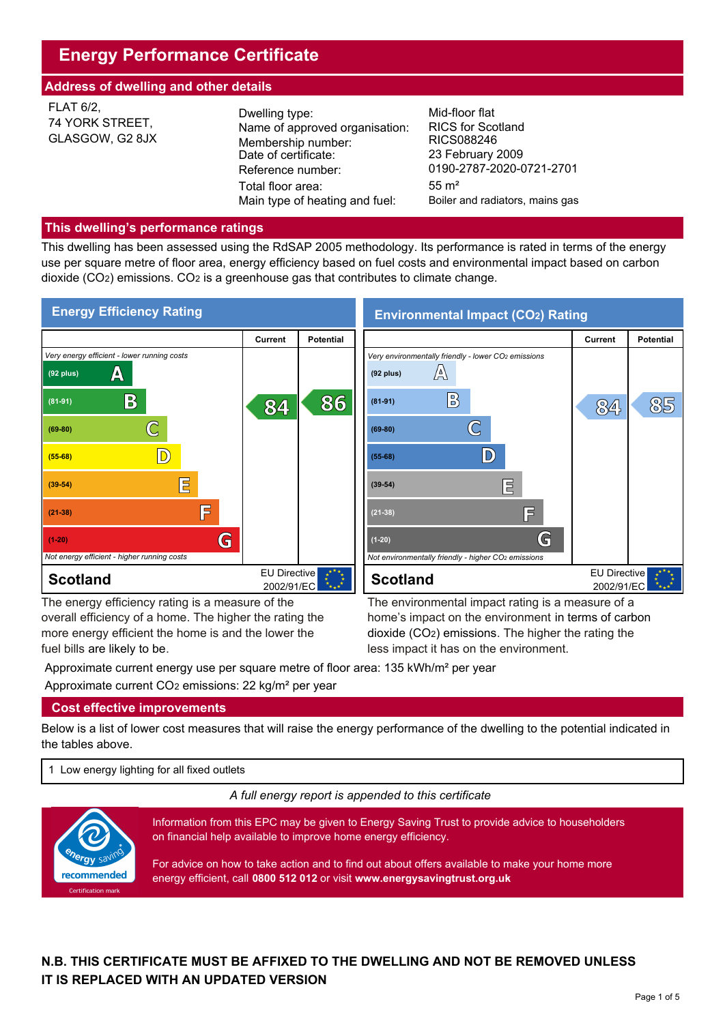# **Energy Performance Certificate**

#### **Address of dwelling and other details**

| <b>FLAT 6/2,</b><br>74 YORK STREET,<br>GLASGOW, G2 8JX | Dwelling type:<br>Name of approved organisation:<br>Membership number:<br>Date of certificate:<br>Reference number:<br>Total floor area: | Mid-floor flat<br><b>RICS for Scotland</b><br>RICS088246<br>23 February 2009<br>0190-2787-2020-0721-2701<br>55 $m2$ |
|--------------------------------------------------------|------------------------------------------------------------------------------------------------------------------------------------------|---------------------------------------------------------------------------------------------------------------------|
|                                                        | Main type of heating and fuel:                                                                                                           | Boiler and radiators, mains gas                                                                                     |

#### **This dwelling's performance ratings**

This dwelling has been assessed using the RdSAP 2005 methodology. Its performance is rated in terms of the energy use per square metre of floor area, energy efficiency based on fuel costs and environmental impact based on carbon dioxide (CO2) emissions. CO2 is a greenhouse gas that contributes to climate change.



The energy efficiency rating is a measure of the overall efficiency of a home. The higher the rating the more energy efficient the home is and the lower the fuel bills are likely to be.

## The environmental impact rating is a measure of a home's impact on the environment in terms of carbon dioxide (CO2) emissions. The higher the rating the less impact it has on the environment.

Approximate current energy use per square metre of floor area: 135 kWh/m² per year Approximate current CO2 emissions: 22 kg/m² per year

#### **Cost effective improvements**

Below is a list of lower cost measures that will raise the energy performance of the dwelling to the potential indicated in the tables above.

1 Low energy lighting for all fixed outlets

#### *A full energy report is appended to this certificate*



Information from this EPC may be given to Energy Saving Trust to provide advice to householders on financial help available to improve home energy efficiency.

For advice on how to take action and to find out about offers available to make your home more energy efficient, call **0800 512 012** or visit **www.energysavingtrust.org.uk**

# **N.B. THIS CERTIFICATE MUST BE AFFIXED TO THE DWELLING AND NOT BE REMOVED UNLESS IT IS REPLACED WITH AN UPDATED VERSION**

85

84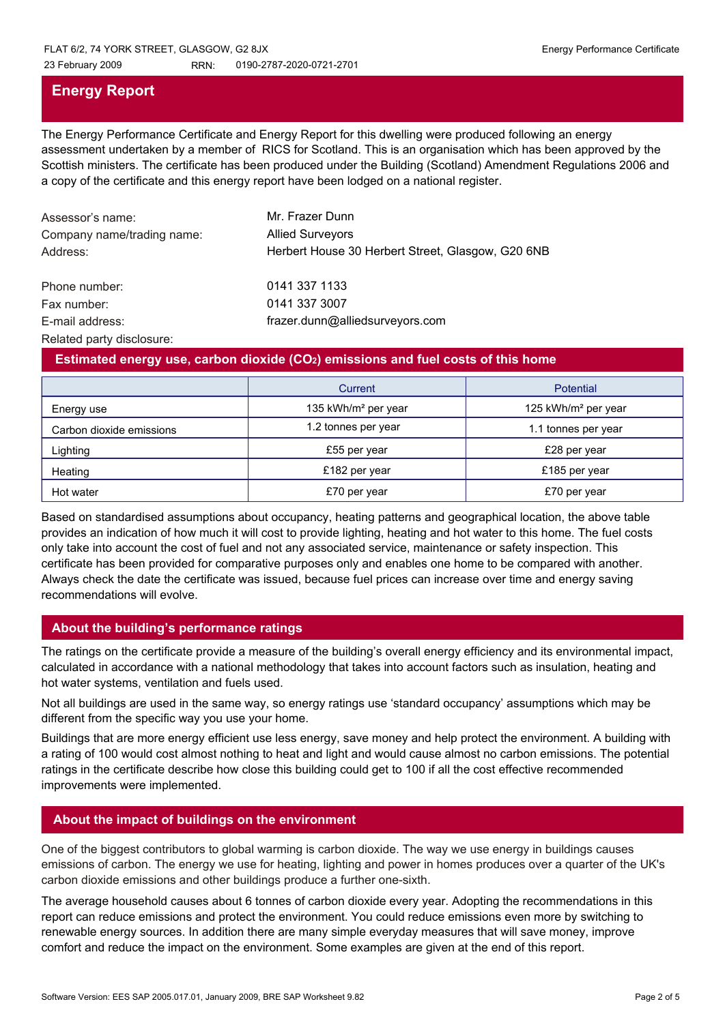# **Energy Report**

The Energy Performance Certificate and Energy Report for this dwelling were produced following an energy assessment undertaken by a member of RICS for Scotland. This is an organisation which has been approved by the Scottish ministers. The certificate has been produced under the Building (Scotland) Amendment Regulations 2006 and a copy of the certificate and this energy report have been lodged on a national register.

| Assessor's name:<br>Company name/trading name:<br>Address: | Mr. Frazer Dunn<br><b>Allied Surveyors</b><br>Herbert House 30 Herbert Street, Glasgow, G20 6NB |
|------------------------------------------------------------|-------------------------------------------------------------------------------------------------|
| Phone number:                                              | 0141 337 1133                                                                                   |
| Fax number:                                                | 0141 337 3007                                                                                   |
| E-mail address:                                            | frazer.dunn@alliedsurveyors.com                                                                 |
| Deleted narty diselection                                  |                                                                                                 |

Related party disclosure:

#### **Estimated energy use, carbon dioxide (CO2) emissions and fuel costs of this home**

|                          | Current                         | Potential                       |  |
|--------------------------|---------------------------------|---------------------------------|--|
| Energy use               | 135 kWh/m <sup>2</sup> per year | 125 kWh/m <sup>2</sup> per year |  |
| Carbon dioxide emissions | 1.2 tonnes per year             | 1.1 tonnes per year             |  |
| Lighting                 | £55 per year                    | £28 per year                    |  |
| Heating                  | £182 per year                   | £185 per year                   |  |
| Hot water                | £70 per year                    | £70 per year                    |  |

Based on standardised assumptions about occupancy, heating patterns and geographical location, the above table provides an indication of how much it will cost to provide lighting, heating and hot water to this home. The fuel costs only take into account the cost of fuel and not any associated service, maintenance or safety inspection. This certificate has been provided for comparative purposes only and enables one home to be compared with another. Always check the date the certificate was issued, because fuel prices can increase over time and energy saving recommendations will evolve.

#### **About the building's performance ratings**

The ratings on the certificate provide a measure of the building's overall energy efficiency and its environmental impact, calculated in accordance with a national methodology that takes into account factors such as insulation, heating and hot water systems, ventilation and fuels used.

Not all buildings are used in the same way, so energy ratings use 'standard occupancy' assumptions which may be different from the specific way you use your home.

Buildings that are more energy efficient use less energy, save money and help protect the environment. A building with a rating of 100 would cost almost nothing to heat and light and would cause almost no carbon emissions. The potential ratings in the certificate describe how close this building could get to 100 if all the cost effective recommended improvements were implemented.

#### **About the impact of buildings on the environment**

One of the biggest contributors to global warming is carbon dioxide. The way we use energy in buildings causes emissions of carbon. The energy we use for heating, lighting and power in homes produces over a quarter of the UK's carbon dioxide emissions and other buildings produce a further one-sixth.

The average household causes about 6 tonnes of carbon dioxide every year. Adopting the recommendations in this report can reduce emissions and protect the environment. You could reduce emissions even more by switching to renewable energy sources. In addition there are many simple everyday measures that will save money, improve comfort and reduce the impact on the environment. Some examples are given at the end of this report.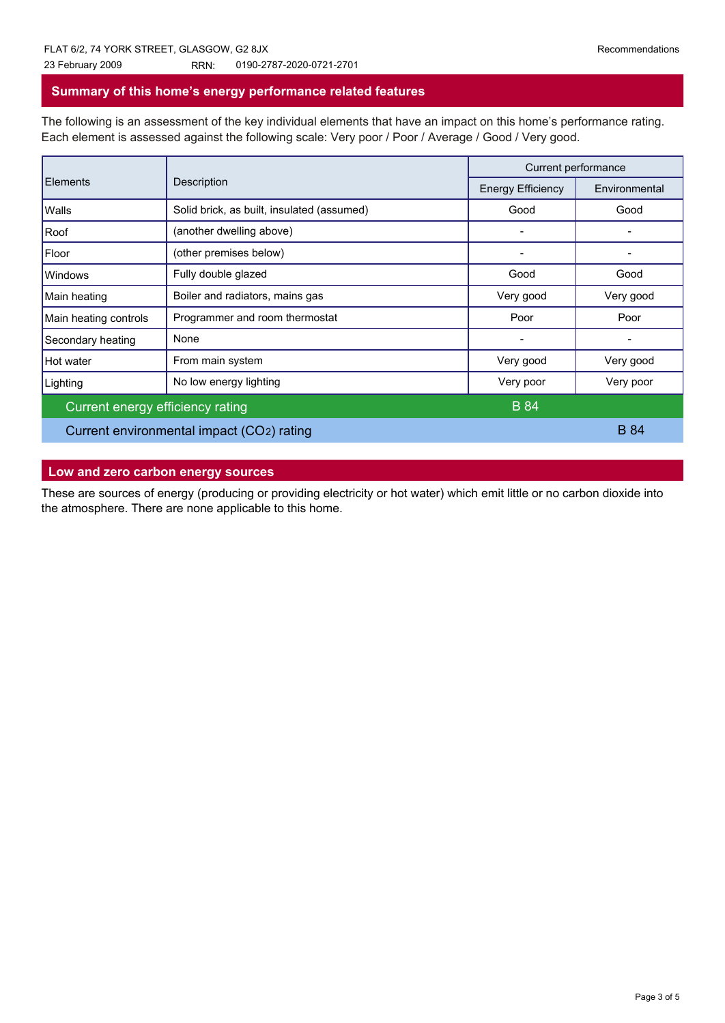#### **Summary of this home's energy performance related features**

The following is an assessment of the key individual elements that have an impact on this home's performance rating. Each element is assessed against the following scale: Very poor / Poor / Average / Good / Very good.

| Elements                                  | Description                                | Current performance      |               |
|-------------------------------------------|--------------------------------------------|--------------------------|---------------|
|                                           |                                            | <b>Energy Efficiency</b> | Environmental |
| Walls                                     | Solid brick, as built, insulated (assumed) | Good                     | Good          |
| Roof                                      | (another dwelling above)                   |                          |               |
| Floor                                     | (other premises below)                     |                          |               |
| <b>Windows</b>                            | Fully double glazed                        | Good                     | Good          |
| Main heating                              | Boiler and radiators, mains gas            | Very good                | Very good     |
| Main heating controls                     | Programmer and room thermostat             | Poor                     | Poor          |
| Secondary heating                         | None                                       |                          |               |
| Hot water                                 | From main system                           | Very good                | Very good     |
| Lighting                                  | No low energy lighting                     | Very poor                | Very poor     |
| Current energy efficiency rating          |                                            | <b>B</b> 84              |               |
| Current environmental impact (CO2) rating |                                            | <b>B</b> 84              |               |

#### **Low and zero carbon energy sources**

These are sources of energy (producing or providing electricity or hot water) which emit little or no carbon dioxide into the atmosphere. There are none applicable to this home.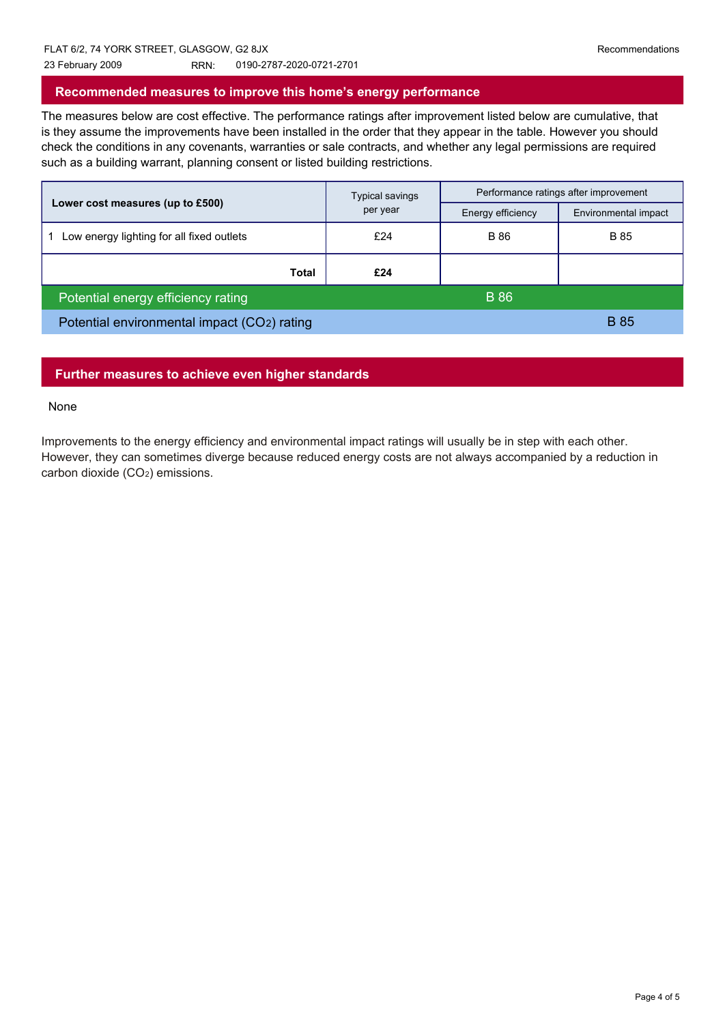## **Recommended measures to improve this home's energy performance**

The measures below are cost effective. The performance ratings after improvement listed below are cumulative, that is they assume the improvements have been installed in the order that they appear in the table. However you should check the conditions in any covenants, warranties or sale contracts, and whether any legal permissions are required such as a building warrant, planning consent or listed building restrictions.

|                                             | <b>Typical savings</b><br>per year | Performance ratings after improvement |                      |
|---------------------------------------------|------------------------------------|---------------------------------------|----------------------|
| Lower cost measures (up to £500)            |                                    | Energy efficiency                     | Environmental impact |
| Low energy lighting for all fixed outlets   | £24                                | <b>B</b> 86                           | <b>B</b> 85          |
| Total                                       | £24                                |                                       |                      |
| Potential energy efficiency rating          |                                    | <b>B</b> 86                           |                      |
| Potential environmental impact (CO2) rating |                                    |                                       | <b>B</b> 85          |

#### **Further measures to achieve even higher standards**

#### None

Improvements to the energy efficiency and environmental impact ratings will usually be in step with each other. However, they can sometimes diverge because reduced energy costs are not always accompanied by a reduction in carbon dioxide (CO2) emissions.